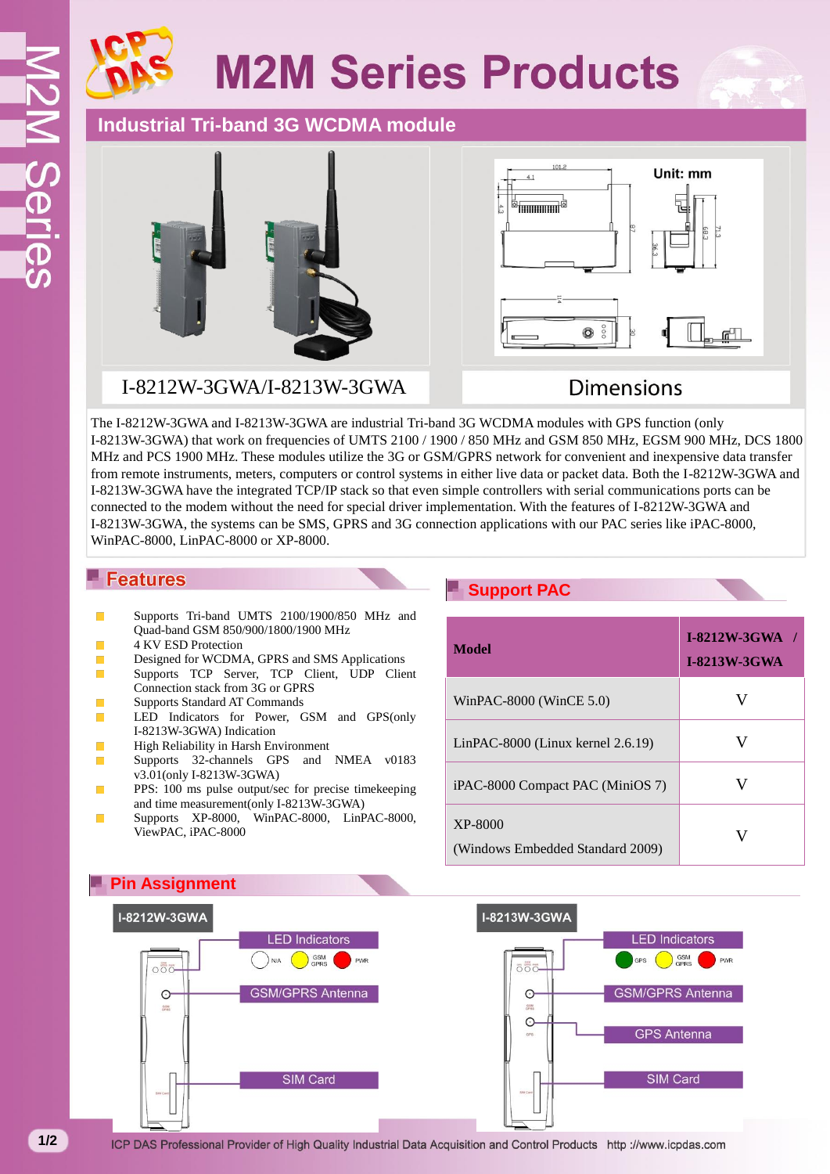# **M2M Series Products**

## **Industrial Tri-band 3G WCDMA module**



### I-8212W-3GWA/I-8213W-3GWA



## **Dimensions**

The I-8212W-3GWA and I-8213W-3GWA are industrial Tri-band 3G WCDMA modules with GPS function (only I-8213W-3GWA) that work on frequencies of UMTS 2100 / 1900 / 850 MHz and GSM 850 MHz, EGSM 900 MHz, DCS 1800 MHz and PCS 1900 MHz. These modules utilize the 3G or GSM/GPRS network for convenient and inexpensive data transfer from remote instruments, meters, computers or control systems in either live data or packet data. Both the I-8212W-3GWA and I-8213W-3GWA have the integrated TCP/IP stack so that even simple controllers with serial communications ports can be connected to the modem without the need for special driver implementation. With the features of I-8212W-3GWA and I-8213W-3GWA, the systems can be SMS, GPRS and 3G connection applications with our PAC series like iPAC-8000, WinPAC-8000, LinPAC-8000 or XP-8000.

#### **Features**

- Supports Tri-band UMTS 2100/1900/850 MHz and Quad-band GSM 850/900/1800/1900 MHz
- 4 KV ESD Protection
- × Designed for WCDMA, GPRS and SMS Applications
- $\mathcal{C}^{\mathcal{A}}$ Supports TCP Server, TCP Client, UDP Client Connection stack from 3G or GPRS
- п Supports Standard AT Commands
- LED Indicators for Power, GSM and GPS(only  $\mathcal{C}^{\mathcal{A}}$ I-8213W-3GWA) Indication
- $\mathcal{L}_{\mathcal{A}}$ High Reliability in Harsh Environment
- Supports 32-channels GPS and NMEA v0183  $\mathcal{C}^{\mathcal{A}}$ v3.01(only I-8213W-3GWA)
- PPS: 100 ms pulse output/sec for precise timekeeping and time measurement(only I-8213W-3GWA)
- Supports XP-8000, WinPAC-8000, LinPAC-8000, п ViewPAC, iPAC-8000

### **Support PAC**

| Model                                       | <b>I-8212W-3GWA</b><br><b>I-8213W-3GWA</b> |
|---------------------------------------------|--------------------------------------------|
| WinPAC-8000 (WinCE 5.0)                     |                                            |
| $LinPAC-8000$ (Linux kernel 2.6.19)         |                                            |
| iPAC-8000 Compact PAC (MiniOS 7)            |                                            |
| XP-8000<br>(Windows Embedded Standard 2009) |                                            |



ICP DAS Professional Provider of High Quality Industrial Data Acquisition and Control Products http://www.icpdas.com